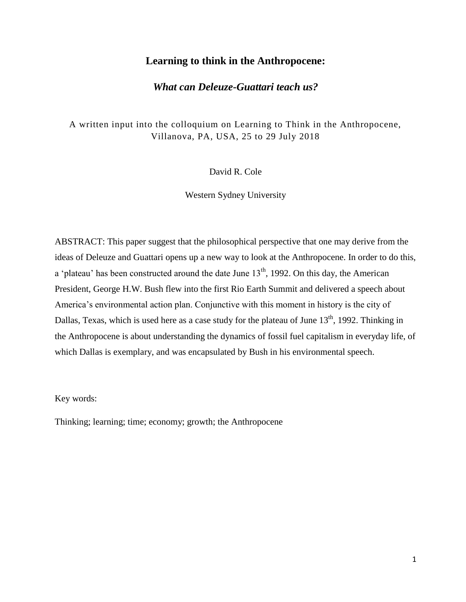## **Learning to think in the Anthropocene:**

## *What can Deleuze-Guattari teach us?*

A written input into the colloquium on Learning to Think in the Anthropocene, Villanova, PA, USA, 25 to 29 July 2018

David R. Cole

Western Sydney University

ABSTRACT: This paper suggest that the philosophical perspective that one may derive from the ideas of Deleuze and Guattari opens up a new way to look at the Anthropocene. In order to do this, a 'plateau' has been constructed around the date June  $13<sup>th</sup>$ , 1992. On this day, the American President, George H.W. Bush flew into the first Rio Earth Summit and delivered a speech about America's environmental action plan. Conjunctive with this moment in history is the city of Dallas, Texas, which is used here as a case study for the plateau of June 13<sup>th</sup>, 1992. Thinking in the Anthropocene is about understanding the dynamics of fossil fuel capitalism in everyday life, of which Dallas is exemplary, and was encapsulated by Bush in his environmental speech.

Key words:

Thinking; learning; time; economy; growth; the Anthropocene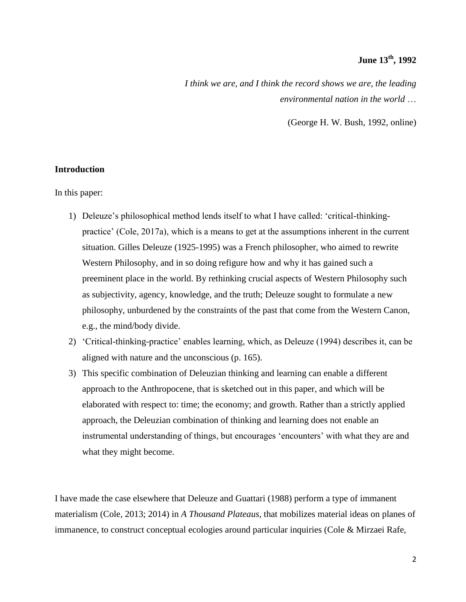# **June 13th, 1992**

*I think we are, and I think the record shows we are, the leading environmental nation in the world* …

(George H. W. Bush, 1992, online)

### **Introduction**

In this paper:

- 1) Deleuze's philosophical method lends itself to what I have called: 'critical-thinkingpractice' (Cole, 2017a), which is a means to get at the assumptions inherent in the current situation. Gilles Deleuze (1925-1995) was a French philosopher, who aimed to rewrite Western Philosophy, and in so doing refigure how and why it has gained such a preeminent place in the world. By rethinking crucial aspects of Western Philosophy such as subjectivity, agency, knowledge, and the truth; Deleuze sought to formulate a new philosophy, unburdened by the constraints of the past that come from the Western Canon, e.g., the mind/body divide.
- 2) 'Critical-thinking-practice' enables learning, which, as Deleuze (1994) describes it, can be aligned with nature and the unconscious (p. 165).
- 3) This specific combination of Deleuzian thinking and learning can enable a different approach to the Anthropocene, that is sketched out in this paper, and which will be elaborated with respect to: time; the economy; and growth. Rather than a strictly applied approach, the Deleuzian combination of thinking and learning does not enable an instrumental understanding of things, but encourages 'encounters' with what they are and what they might become.

I have made the case elsewhere that Deleuze and Guattari (1988) perform a type of immanent materialism (Cole, 2013; 2014) in *A Thousand Plateaus*, that mobilizes material ideas on planes of immanence, to construct conceptual ecologies around particular inquiries (Cole & Mirzaei Rafe,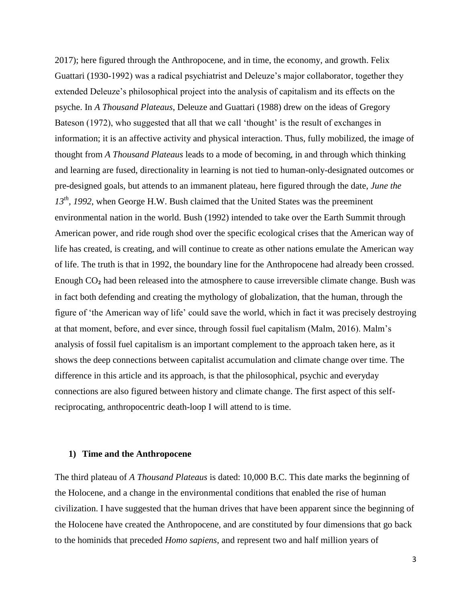2017); here figured through the Anthropocene, and in time, the economy, and growth. Felix Guattari (1930-1992) was a radical psychiatrist and Deleuze's major collaborator, together they extended Deleuze's philosophical project into the analysis of capitalism and its effects on the psyche. In *A Thousand Plateaus*, Deleuze and Guattari (1988) drew on the ideas of Gregory Bateson (1972), who suggested that all that we call 'thought' is the result of exchanges in information; it is an affective activity and physical interaction. Thus, fully mobilized, the image of thought from *A Thousand Plateaus* leads to a mode of becoming, in and through which thinking and learning are fused, directionality in learning is not tied to human-only-designated outcomes or pre-designed goals, but attends to an immanent plateau, here figured through the date, *June the 13th, 1992*, when George H.W. Bush claimed that the United States was the preeminent environmental nation in the world. Bush (1992) intended to take over the Earth Summit through American power, and ride rough shod over the specific ecological crises that the American way of life has created, is creating, and will continue to create as other nations emulate the American way of life. The truth is that in 1992, the boundary line for the Anthropocene had already been crossed. Enough CO<sub>2</sub> had been released into the atmosphere to cause irreversible climate change. Bush was in fact both defending and creating the mythology of globalization, that the human, through the figure of 'the American way of life' could save the world, which in fact it was precisely destroying at that moment, before, and ever since, through fossil fuel capitalism (Malm, 2016). Malm's analysis of fossil fuel capitalism is an important complement to the approach taken here, as it shows the deep connections between capitalist accumulation and climate change over time. The difference in this article and its approach, is that the philosophical, psychic and everyday connections are also figured between history and climate change. The first aspect of this selfreciprocating, anthropocentric death-loop I will attend to is time.

#### **1) Time and the Anthropocene**

The third plateau of *A Thousand Plateaus* is dated: 10,000 B.C. This date marks the beginning of the Holocene, and a change in the environmental conditions that enabled the rise of human civilization. I have suggested that the human drives that have been apparent since the beginning of the Holocene have created the Anthropocene, and are constituted by four dimensions that go back to the hominids that preceded *Homo sapiens*, and represent two and half million years of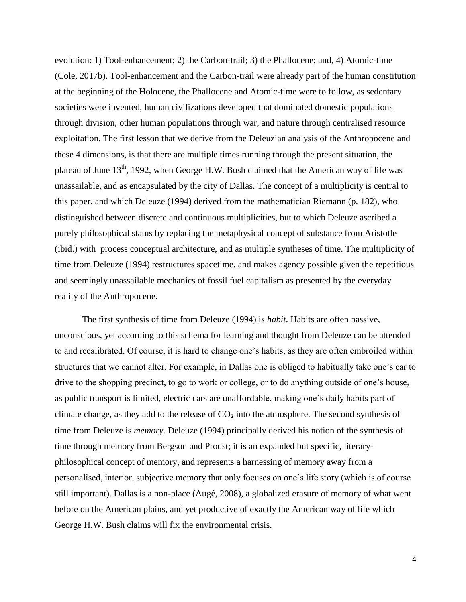evolution: 1) Tool-enhancement; 2) the Carbon-trail; 3) the Phallocene; and, 4) Atomic-time (Cole, 2017b). Tool-enhancement and the Carbon-trail were already part of the human constitution at the beginning of the Holocene, the Phallocene and Atomic-time were to follow, as sedentary societies were invented, human civilizations developed that dominated domestic populations through division, other human populations through war, and nature through centralised resource exploitation. The first lesson that we derive from the Deleuzian analysis of the Anthropocene and these 4 dimensions, is that there are multiple times running through the present situation, the plateau of June  $13<sup>th</sup>$ , 1992, when George H.W. Bush claimed that the American way of life was unassailable, and as encapsulated by the city of Dallas. The concept of a multiplicity is central to this paper, and which Deleuze (1994) derived from the mathematician Riemann (p. 182), who distinguished between discrete and continuous multiplicities, but to which Deleuze ascribed a purely philosophical status by replacing the metaphysical concept of substance from Aristotle (ibid.) with process conceptual architecture, and as multiple syntheses of time. The multiplicity of time from Deleuze (1994) restructures spacetime, and makes agency possible given the repetitious and seemingly unassailable mechanics of fossil fuel capitalism as presented by the everyday reality of the Anthropocene.

The first synthesis of time from Deleuze (1994) is *habit*. Habits are often passive, unconscious, yet according to this schema for learning and thought from Deleuze can be attended to and recalibrated. Of course, it is hard to change one's habits, as they are often embroiled within structures that we cannot alter. For example, in Dallas one is obliged to habitually take one's car to drive to the shopping precinct, to go to work or college, or to do anything outside of one's house, as public transport is limited, electric cars are unaffordable, making one's daily habits part of climate change, as they add to the release of  $CO<sub>2</sub>$  into the atmosphere. The second synthesis of time from Deleuze is *memory*. Deleuze (1994) principally derived his notion of the synthesis of time through memory from Bergson and Proust; it is an expanded but specific, literaryphilosophical concept of memory, and represents a harnessing of memory away from a personalised, interior, subjective memory that only focuses on one's life story (which is of course still important). Dallas is a non-place (Augé, 2008), a globalized erasure of memory of what went before on the American plains, and yet productive of exactly the American way of life which George H.W. Bush claims will fix the environmental crisis.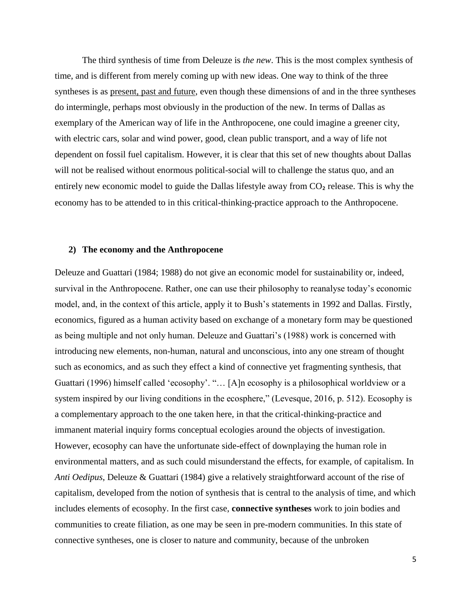The third synthesis of time from Deleuze is *the new*. This is the most complex synthesis of time, and is different from merely coming up with new ideas. One way to think of the three syntheses is as present, past and future, even though these dimensions of and in the three syntheses do intermingle, perhaps most obviously in the production of the new. In terms of Dallas as exemplary of the American way of life in the Anthropocene, one could imagine a greener city, with electric cars, solar and wind power, good, clean public transport, and a way of life not dependent on fossil fuel capitalism. However, it is clear that this set of new thoughts about Dallas will not be realised without enormous political-social will to challenge the status quo, and an entirely new economic model to guide the Dallas lifestyle away from  $CO<sub>2</sub>$  release. This is why the economy has to be attended to in this critical-thinking-practice approach to the Anthropocene.

#### **2) The economy and the Anthropocene**

Deleuze and Guattari (1984; 1988) do not give an economic model for sustainability or, indeed, survival in the Anthropocene. Rather, one can use their philosophy to reanalyse today's economic model, and, in the context of this article, apply it to Bush's statements in 1992 and Dallas. Firstly, economics, figured as a human activity based on exchange of a monetary form may be questioned as being multiple and not only human. Deleuze and Guattari's (1988) work is concerned with introducing new elements, non-human, natural and unconscious, into any one stream of thought such as economics, and as such they effect a kind of connective yet fragmenting synthesis, that Guattari (1996) himself called 'ecosophy'. "… [A]n ecosophy is a philosophical worldview or a system inspired by our living conditions in the ecosphere," (Levesque, 2016, p. 512). Ecosophy is a complementary approach to the one taken here, in that the critical-thinking-practice and immanent material inquiry forms conceptual ecologies around the objects of investigation. However, ecosophy can have the unfortunate side-effect of downplaying the human role in environmental matters, and as such could misunderstand the effects, for example, of capitalism. In *Anti Oedipus*, Deleuze & Guattari (1984) give a relatively straightforward account of the rise of capitalism, developed from the notion of synthesis that is central to the analysis of time, and which includes elements of ecosophy. In the first case, **connective syntheses** work to join bodies and communities to create filiation, as one may be seen in pre-modern communities. In this state of connective syntheses, one is closer to nature and community, because of the unbroken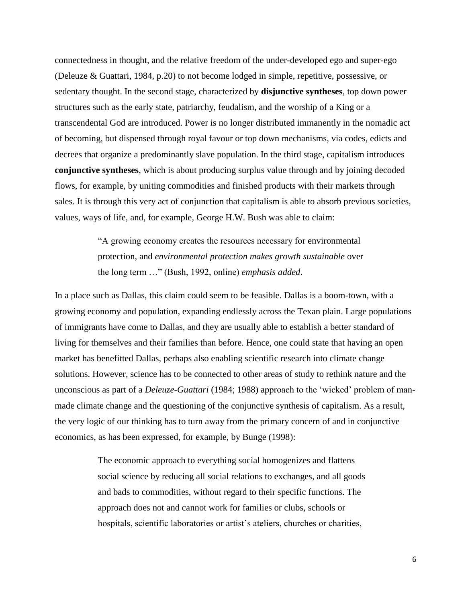connectedness in thought, and the relative freedom of the under-developed ego and super-ego (Deleuze & Guattari, 1984, p.20) to not become lodged in simple, repetitive, possessive, or sedentary thought. In the second stage, characterized by **disjunctive syntheses**, top down power structures such as the early state, patriarchy, feudalism, and the worship of a King or a transcendental God are introduced. Power is no longer distributed immanently in the nomadic act of becoming, but dispensed through royal favour or top down mechanisms, via codes, edicts and decrees that organize a predominantly slave population. In the third stage, capitalism introduces **conjunctive syntheses**, which is about producing surplus value through and by joining decoded flows, for example, by uniting commodities and finished products with their markets through sales. It is through this very act of conjunction that capitalism is able to absorb previous societies, values, ways of life, and, for example, George H.W. Bush was able to claim:

> "A growing economy creates the resources necessary for environmental protection, and *environmental protection makes growth sustainable* over the long term …" (Bush, 1992, online) *emphasis added*.

In a place such as Dallas, this claim could seem to be feasible. Dallas is a boom-town, with a growing economy and population, expanding endlessly across the Texan plain. Large populations of immigrants have come to Dallas, and they are usually able to establish a better standard of living for themselves and their families than before. Hence, one could state that having an open market has benefitted Dallas, perhaps also enabling scientific research into climate change solutions. However, science has to be connected to other areas of study to rethink nature and the unconscious as part of a *Deleuze-Guattari* (1984; 1988) approach to the 'wicked' problem of manmade climate change and the questioning of the conjunctive synthesis of capitalism. As a result, the very logic of our thinking has to turn away from the primary concern of and in conjunctive economics, as has been expressed, for example, by Bunge (1998):

> The economic approach to everything social homogenizes and flattens social science by reducing all social relations to exchanges, and all goods and bads to commodities, without regard to their specific functions. The approach does not and cannot work for families or clubs, schools or hospitals, scientific laboratories or artist's ateliers, churches or charities,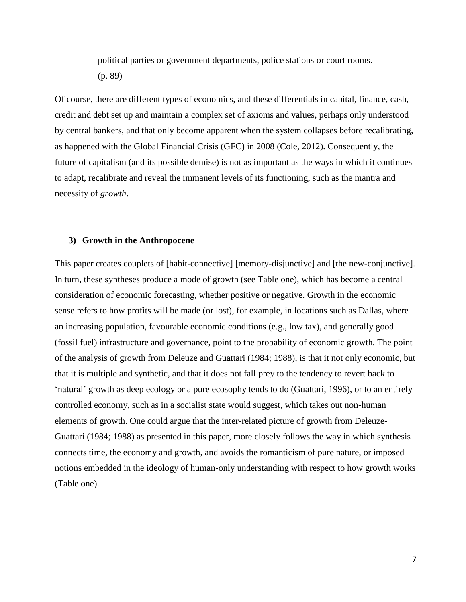political parties or government departments, police stations or court rooms. (p. 89)

Of course, there are different types of economics, and these differentials in capital, finance, cash, credit and debt set up and maintain a complex set of axioms and values, perhaps only understood by central bankers, and that only become apparent when the system collapses before recalibrating, as happened with the Global Financial Crisis (GFC) in 2008 (Cole, 2012). Consequently, the future of capitalism (and its possible demise) is not as important as the ways in which it continues to adapt, recalibrate and reveal the immanent levels of its functioning, such as the mantra and necessity of *growth*.

#### **3) Growth in the Anthropocene**

This paper creates couplets of [habit-connective] [memory-disjunctive] and [the new-conjunctive]. In turn, these syntheses produce a mode of growth (see Table one), which has become a central consideration of economic forecasting, whether positive or negative. Growth in the economic sense refers to how profits will be made (or lost), for example, in locations such as Dallas, where an increasing population, favourable economic conditions (e.g., low tax), and generally good (fossil fuel) infrastructure and governance, point to the probability of economic growth. The point of the analysis of growth from Deleuze and Guattari (1984; 1988), is that it not only economic, but that it is multiple and synthetic, and that it does not fall prey to the tendency to revert back to 'natural' growth as deep ecology or a pure ecosophy tends to do (Guattari, 1996), or to an entirely controlled economy, such as in a socialist state would suggest, which takes out non-human elements of growth. One could argue that the inter-related picture of growth from Deleuze-Guattari (1984; 1988) as presented in this paper, more closely follows the way in which synthesis connects time, the economy and growth, and avoids the romanticism of pure nature, or imposed notions embedded in the ideology of human-only understanding with respect to how growth works (Table one).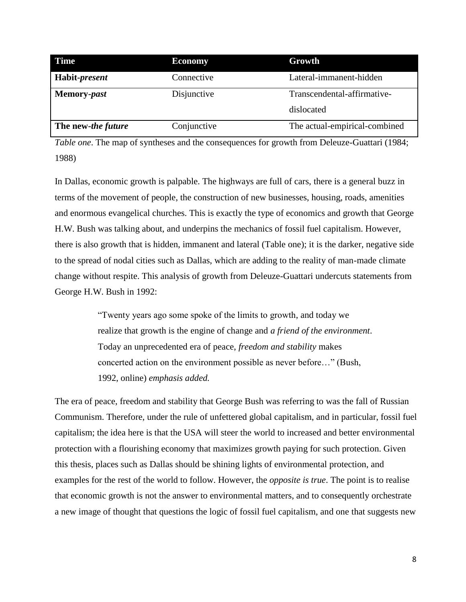| <b>Time</b>        | <b>Economy</b> | Growth                        |  |
|--------------------|----------------|-------------------------------|--|
| Habit-present      | Connective     | Lateral-immanent-hidden       |  |
| Memory-past        | Disjunctive    | Transcendental-affirmative-   |  |
|                    |                | dislocated                    |  |
| The new-the future | Conjunctive    | The actual-empirical-combined |  |

*Table one*. The map of syntheses and the consequences for growth from Deleuze-Guattari (1984; 1988)

In Dallas, economic growth is palpable. The highways are full of cars, there is a general buzz in terms of the movement of people, the construction of new businesses, housing, roads, amenities and enormous evangelical churches. This is exactly the type of economics and growth that George H.W. Bush was talking about, and underpins the mechanics of fossil fuel capitalism. However, there is also growth that is hidden, immanent and lateral (Table one); it is the darker, negative side to the spread of nodal cities such as Dallas, which are adding to the reality of man-made climate change without respite. This analysis of growth from Deleuze-Guattari undercuts statements from George H.W. Bush in 1992:

> "Twenty years ago some spoke of the limits to growth, and today we realize that growth is the engine of change and *a friend of the environment*. Today an unprecedented era of peace, *freedom and stability* makes concerted action on the environment possible as never before…" (Bush, 1992, online) *emphasis added.*

The era of peace, freedom and stability that George Bush was referring to was the fall of Russian Communism. Therefore, under the rule of unfettered global capitalism, and in particular, fossil fuel capitalism; the idea here is that the USA will steer the world to increased and better environmental protection with a flourishing economy that maximizes growth paying for such protection. Given this thesis, places such as Dallas should be shining lights of environmental protection, and examples for the rest of the world to follow. However, the *opposite is true*. The point is to realise that economic growth is not the answer to environmental matters, and to consequently orchestrate a new image of thought that questions the logic of fossil fuel capitalism, and one that suggests new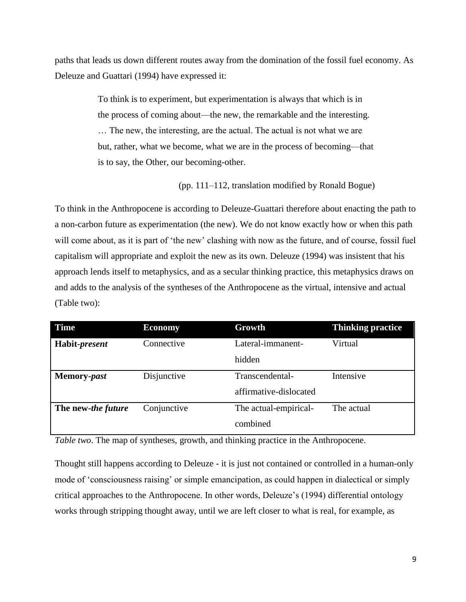paths that leads us down different routes away from the domination of the fossil fuel economy. As Deleuze and Guattari (1994) have expressed it:

> To think is to experiment, but experimentation is always that which is in the process of coming about—the new, the remarkable and the interesting. … The new, the interesting, are the actual. The actual is not what we are but, rather, what we become, what we are in the process of becoming—that is to say, the Other, our becoming-other.

> > (pp. 111–112, translation modified by Ronald Bogue)

To think in the Anthropocene is according to Deleuze-Guattari therefore about enacting the path to a non-carbon future as experimentation (the new). We do not know exactly how or when this path will come about, as it is part of 'the new' clashing with now as the future, and of course, fossil fuel capitalism will appropriate and exploit the new as its own. Deleuze (1994) was insistent that his approach lends itself to metaphysics, and as a secular thinking practice, this metaphysics draws on and adds to the analysis of the syntheses of the Anthropocene as the virtual, intensive and actual (Table two):

| <b>Time</b>        | <b>Economy</b> | Growth                 | <b>Thinking practice</b> |
|--------------------|----------------|------------------------|--------------------------|
| Habit-present      | Connective     | Lateral-immanent-      | Virtual                  |
|                    |                | hidden                 |                          |
| Memory-past        | Disjunctive    | Transcendental-        | Intensive                |
|                    |                | affirmative-dislocated |                          |
| The new-the future | Conjunctive    | The actual-empirical-  | The actual               |
|                    |                | combined               |                          |

*Table two*. The map of syntheses, growth, and thinking practice in the Anthropocene.

Thought still happens according to Deleuze - it is just not contained or controlled in a human-only mode of 'consciousness raising' or simple emancipation, as could happen in dialectical or simply critical approaches to the Anthropocene. In other words, Deleuze's (1994) differential ontology works through stripping thought away, until we are left closer to what is real, for example, as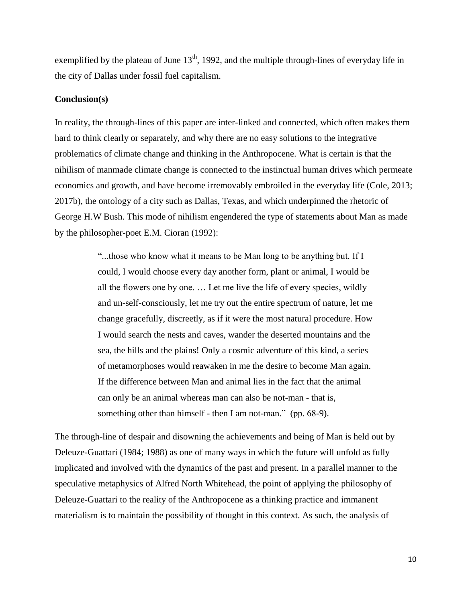exemplified by the plateau of June  $13<sup>th</sup>$ , 1992, and the multiple through-lines of everyday life in the city of Dallas under fossil fuel capitalism.

#### **Conclusion(s)**

In reality, the through-lines of this paper are inter-linked and connected, which often makes them hard to think clearly or separately, and why there are no easy solutions to the integrative problematics of climate change and thinking in the Anthropocene. What is certain is that the nihilism of manmade climate change is connected to the instinctual human drives which permeate economics and growth, and have become irremovably embroiled in the everyday life (Cole, 2013; 2017b), the ontology of a city such as Dallas, Texas, and which underpinned the rhetoric of George H.W Bush. This mode of nihilism engendered the type of statements about Man as made by the philosopher-poet E.M. Cioran (1992):

> "...those who know what it means to be Man long to be anything but. If I could, I would choose every day another form, plant or animal, I would be all the flowers one by one. … Let me live the life of every species, wildly and un-self-consciously, let me try out the entire spectrum of nature, let me change gracefully, discreetly, as if it were the most natural procedure. How I would search the nests and caves, wander the deserted mountains and the sea, the hills and the plains! Only a cosmic adventure of this kind, a series of metamorphoses would reawaken in me the desire to become Man again. If the difference between Man and animal lies in the fact that the animal can only be an animal whereas man can also be not-man - that is, something other than himself - then I am not-man." (pp. 68-9).

The through-line of despair and disowning the achievements and being of Man is held out by Deleuze-Guattari (1984; 1988) as one of many ways in which the future will unfold as fully implicated and involved with the dynamics of the past and present. In a parallel manner to the speculative metaphysics of Alfred North Whitehead, the point of applying the philosophy of Deleuze-Guattari to the reality of the Anthropocene as a thinking practice and immanent materialism is to maintain the possibility of thought in this context. As such, the analysis of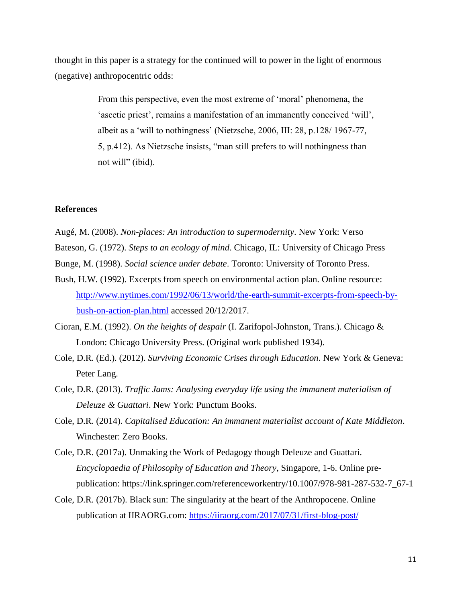thought in this paper is a strategy for the continued will to power in the light of enormous (negative) anthropocentric odds:

> From this perspective, even the most extreme of 'moral' phenomena, the 'ascetic priest', remains a manifestation of an immanently conceived 'will', albeit as a 'will to nothingness' (Nietzsche, 2006, III: 28, p.128/ 1967-77, 5, p.412). As Nietzsche insists, "man still prefers to will nothingness than not will" (ibid).

#### **References**

Augé, M. (2008). *Non-places: An introduction to supermodernity*. New York: Verso

Bateson, G. (1972). *Steps to an ecology of mind*. Chicago, IL: University of Chicago Press

- Bunge, M. (1998). *Social science under debate*. Toronto: University of Toronto Press.
- Bush, H.W. (1992). Excerpts from speech on environmental action plan. Online resource: [http://www.nytimes.com/1992/06/13/world/the-earth-summit-excerpts-from-speech-by](http://www.nytimes.com/1992/06/13/world/the-earth-summit-excerpts-from-speech-by-bush-on-action-plan.html)[bush-on-action-plan.html](http://www.nytimes.com/1992/06/13/world/the-earth-summit-excerpts-from-speech-by-bush-on-action-plan.html) accessed 20/12/2017.
- Cioran, E.M. (1992). *On the heights of despair* (I. Zarifopol-Johnston, Trans.). Chicago & London: Chicago University Press. (Original work published 1934).
- Cole, D.R. (Ed.). (2012). *Surviving Economic Crises through Education*. New York & Geneva: Peter Lang.
- Cole, D.R. (2013). *Traffic Jams: Analysing everyday life using the immanent materialism of Deleuze & Guattari*. New York: Punctum Books.
- Cole, D.R. (2014). *Capitalised Education: An immanent materialist account of Kate Middleton*. Winchester: Zero Books.
- Cole, D.R. (2017a). Unmaking the Work of Pedagogy though Deleuze and Guattari. *Encyclopaedia of Philosophy of Education and Theory*, Singapore, 1-6. Online prepublication: https://link.springer.com/referenceworkentry/10.1007/978-981-287-532-7\_67-1
- Cole, D.R. (2017b). Black sun: The singularity at the heart of the Anthropocene. Online publication at IIRAORG.com:<https://iiraorg.com/2017/07/31/first-blog-post/>